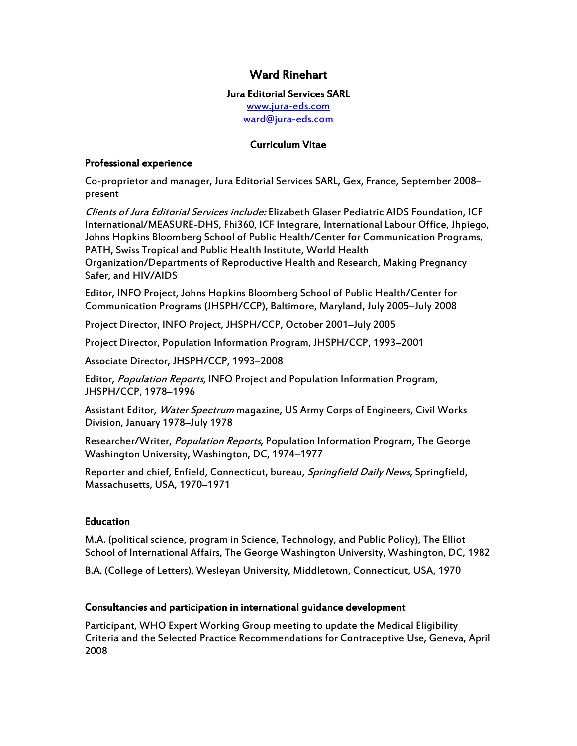# Ward Rinehart

# Jura Editorial Services SARL

<www.jura-eds.com> [ward@jura-eds.com](mailto:ward@jura-eds.com)

# Curriculum Vitae

#### Professional experience

Co-proprietor and manager, Jura Editorial Services SARL, Gex, France, September 2008– present

Clients of Jura Editorial Services include: Elizabeth Glaser Pediatric AIDS Foundation, ICF International/MEASURE-DHS, Fhi360, ICF Integrare, International Labour Office, Jhpiego, Johns Hopkins Bloomberg School of Public Health/Center for Communication Programs, PATH, Swiss Tropical and Public Health Institute, World Health

Organization/Departments of Reproductive Health and Research, Making Pregnancy Safer, and HIV/AIDS

Editor, INFO Project, Johns Hopkins Bloomberg School of Public Health/Center for Communication Programs (JHSPH/CCP), Baltimore, Maryland, July 2005–July 2008

Project Director, INFO Project, JHSPH/CCP, October 2001–July 2005

Project Director, Population Information Program, JHSPH/CCP, 1993–2001

Associate Director, JHSPH/CCP, 1993–2008

Editor, Population Reports, INFO Project and Population Information Program, JHSPH/CCP, 1978–1996

Assistant Editor, *Water Spectrum* magazine, US Army Corps of Engineers, Civil Works Division, January 1978–July 1978

Researcher/Writer, *Population Reports*, Population Information Program, The George Washington University, Washington, DC, 1974–1977

Reporter and chief, Enfield, Connecticut, bureau, Springfield Daily News, Springfield, Massachusetts, USA, 1970–1971

# Education

M.A. (political science, program in Science, Technology, and Public Policy), The Elliot School of International Affairs, The George Washington University, Washington, DC, 1982

B.A. (College of Letters), Wesleyan University, Middletown, Connecticut, USA, 1970

# Consultancies and participation in international guidance development

Participant, WHO Expert Working Group meeting to update the Medical Eligibility Criteria and the Selected Practice Recommendations for Contraceptive Use, Geneva, April 2008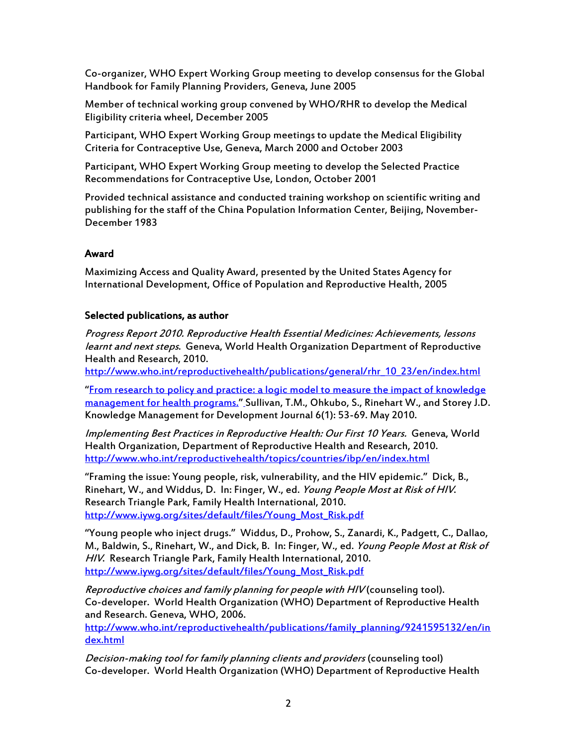Co-organizer, WHO Expert Working Group meeting to develop consensus for the Global Handbook for Family Planning Providers, Geneva, June 2005

Member of technical working group convened by WHO/RHR to develop the Medical Eligibility criteria wheel, December 2005

Participant, WHO Expert Working Group meetings to update the Medical Eligibility Criteria for Contraceptive Use, Geneva, March 2000 and October 2003

Participant, WHO Expert Working Group meeting to develop the Selected Practice Recommendations for Contraceptive Use, London, October 2001

Provided technical assistance and conducted training workshop on scientific writing and publishing for the staff of the China Population Information Center, Beijing, November-December 1983

# Award

Maximizing Access and Quality Award, presented by the United States Agency for International Development, Office of Population and Reproductive Health, 2005

#### Selected publications, as author

Progress Report 2010. Reproductive Health Essential Medicines: Achievements, lessons learnt and next steps. Geneva, World Health Organization Department of Reproductive Health and Research, 2010.

[http://www.who.int/reproductivehealth/publications/general/rhr\\_10\\_23/en/index.html](http://www.who.int/reproductivehealth/publications/general/rhr_10_23/en/index.html)

"[From research to policy and practice: a logic model to measure the impact of knowledge](http://www.informaworld.com/smpp/title~db=all~content=g928826833)  [management for health programs.](http://www.informaworld.com/smpp/title~db=all~content=g928826833)" [S](http://www.informaworld.com/smpp/title~db=all~content=g928826833)ullivan, T.M., Ohkubo, S., Rinehart W., and Storey J.D. Knowledge Management for Development Journal 6(1): 53-69. May 2010.

Implementing Best Practices in Reproductive Health: Our First 10 Years. Geneva, World Health Organization, Department of Reproductive Health and Research, 2010. <http://www.who.int/reproductivehealth/topics/countries/ibp/en/index.html>

"Framing the issue: Young people, risk, vulnerability, and the HIV epidemic." Dick, B., Rinehart, W., and Widdus, D. In: Finger, W., ed. Young People Most at Risk of HIV. Research Triangle Park, Family Health International, 2010. [http://www.iywg.org/sites/default/files/Young\\_Most\\_Risk.pdf](http://www.iywg.org/sites/default/files/Young_Most_Risk.pdf)

"Young people who inject drugs." Widdus, D., Prohow, S., Zanardi, K., Padgett, C., Dallao, M., Baldwin, S., Rinehart, W., and Dick, B. In: Finger, W., ed. Young People Most at Risk of HIV. Research Triangle Park, Family Health International, 2010. [http://www.iywg.org/sites/default/files/Young\\_Most\\_Risk.pdf](http://www.iywg.org/sites/default/files/Young_Most_Risk.pdf)

Reproductive choices and family planning for people with HIV (counseling tool). Co-developer. World Health Organization (WHO) Department of Reproductive Health and Research. Geneva, WHO, 2006.

[http://www.who.int/reproductivehealth/publications/family\\_planning/9241595132/en/in](http://www.who.int/reproductivehealth/publications/family_planning/9241595132/en/index.html) [dex.html](http://www.who.int/reproductivehealth/publications/family_planning/9241595132/en/index.html)

Decision-making tool for family planning clients and providers (counseling tool) Co-developer. World Health Organization (WHO) Department of Reproductive Health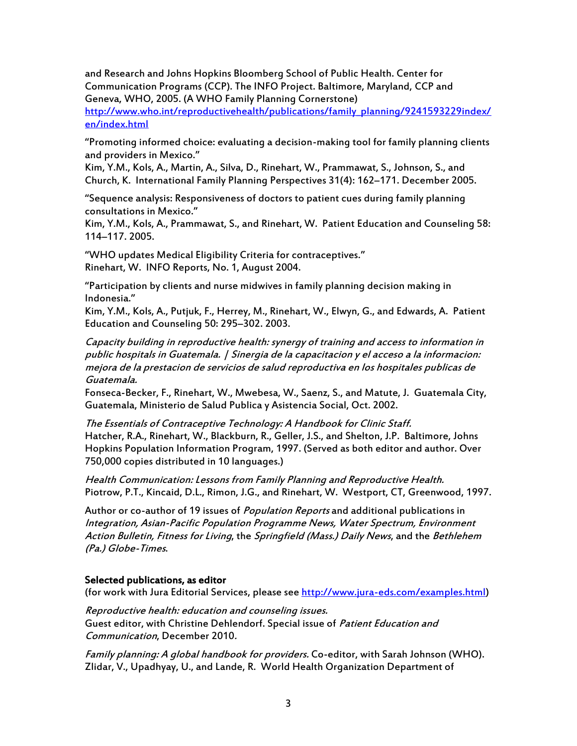and Research and Johns Hopkins Bloomberg School of Public Health. Center for Communication Programs (CCP). The INFO Project. Baltimore, Maryland, CCP and Geneva, WHO, 2005. (A WHO Family Planning Cornerstone)

[http://www.who.int/reproductivehealth/publications/family\\_planning/9241593229index/](http://www.who.int/reproductivehealth/publications/family_planning/9241593229index/en/index.html) [en/index.html](http://www.who.int/reproductivehealth/publications/family_planning/9241593229index/en/index.html)

"Promoting informed choice: evaluating a decision-making tool for family planning clients and providers in Mexico."

Kim, Y.M., Kols, A., Martin, A., Silva, D., Rinehart, W., Prammawat, S., Johnson, S., and Church, K. International Family Planning Perspectives 31(4): 162–171. December 2005.

"Sequence analysis: Responsiveness of doctors to patient cues during family planning consultations in Mexico."

Kim, Y.M., Kols, A., Prammawat, S., and Rinehart, W. Patient Education and Counseling 58: 114–117. 2005.

"WHO updates Medical Eligibility Criteria for contraceptives." Rinehart, W. INFO Reports, No. 1, August 2004.

"Participation by clients and nurse midwives in family planning decision making in Indonesia."

Kim, Y.M., Kols, A., Putjuk, F., Herrey, M., Rinehart, W., Elwyn, G., and Edwards, A. Patient Education and Counseling 50: 295–302. 2003.

Capacity building in reproductive health: synergy of training and access to information in public hospitals in Guatemala. | Sinergia de la capacitacion y el acceso a la informacion: mejora de la prestacion de servicios de salud reproductiva en los hospitales publicas de Guatemala.

Fonseca-Becker, F., Rinehart, W., Mwebesa, W., Saenz, S., and Matute, J. Guatemala City, Guatemala, Ministerio de Salud Publica y Asistencia Social, Oct. 2002.

The Essentials of Contraceptive Technology: A Handbook for Clinic Staff. Hatcher, R.A., Rinehart, W., Blackburn, R., Geller, J.S., and Shelton, J.P. Baltimore, Johns Hopkins Population Information Program, 1997. (Served as both editor and author. Over 750,000 copies distributed in 10 languages.)

Health Communication: Lessons from Family Planning and Reproductive Health. Piotrow, P.T., Kincaid, D.L., Rimon, J.G., and Rinehart, W. Westport, CT, Greenwood, 1997.

Author or co-author of 19 issues of *Population Reports* and additional publications in Integration, Asian-Pacific Population Programme News, Water Spectrum, Environment Action Bulletin, Fitness for Living, the Springfield (Mass.) Daily News, and the Bethlehem (Pa.) Globe-Times.

#### Selected publications, as editor

(for work with Jura Editorial Services, please see [http://www.jura-eds.com/examples.html\)](http://www.jura-eds.com/examples.html)

Reproductive health: education and counseling issues. Guest editor, with Christine Dehlendorf. Special issue of Patient Education and Communication, December 2010.

Family planning: A global handbook for providers. Co-editor, with Sarah Johnson (WHO). Zlidar, V., Upadhyay, U., and Lande, R. World Health Organization Department of